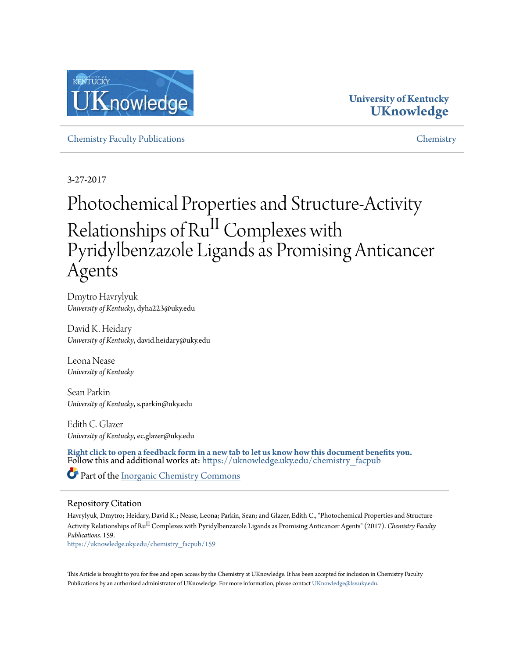

### **University of Kentucky [UKnowledge](https://uknowledge.uky.edu/?utm_source=uknowledge.uky.edu%2Fchemistry_facpub%2F159&utm_medium=PDF&utm_campaign=PDFCoverPages)**

[Chemistry Faculty Publications](https://uknowledge.uky.edu/chemistry_facpub?utm_source=uknowledge.uky.edu%2Fchemistry_facpub%2F159&utm_medium=PDF&utm_campaign=PDFCoverPages) [Chemistry](https://uknowledge.uky.edu/chemistry?utm_source=uknowledge.uky.edu%2Fchemistry_facpub%2F159&utm_medium=PDF&utm_campaign=PDFCoverPages)

3-27-2017

## Photochemical Properties and Structure-Activity Relationships of Ru<sup>II</sup> Complexes with Pyridylbenzazole Ligands as Promising Anticancer Agents

Dmytro Havrylyuk *University of Kentucky*, dyha223@uky.edu

David K. Heidary *University of Kentucky*, david.heidary@uky.edu

Leona Nease *University of Kentucky*

Sean Parkin *University of Kentucky*, s.parkin@uky.edu

Edith C. Glazer *University of Kentucky*, ec.glazer@uky.edu

**[Right click to open a feedback form in a new tab to let us know how this document benefits you.](https://uky.az1.qualtrics.com/jfe/form/SV_9mq8fx2GnONRfz7)** Follow this and additional works at: [https://uknowledge.uky.edu/chemistry\\_facpub](https://uknowledge.uky.edu/chemistry_facpub?utm_source=uknowledge.uky.edu%2Fchemistry_facpub%2F159&utm_medium=PDF&utm_campaign=PDFCoverPages)

Part of the [Inorganic Chemistry Commons](http://network.bepress.com/hgg/discipline/137?utm_source=uknowledge.uky.edu%2Fchemistry_facpub%2F159&utm_medium=PDF&utm_campaign=PDFCoverPages)

#### Repository Citation

Havrylyuk, Dmytro; Heidary, David K.; Nease, Leona; Parkin, Sean; and Glazer, Edith C., "Photochemical Properties and Structure-Activity Relationships of Ru II Complexes with Pyridylbenzazole Ligands as Promising Anticancer Agents" (2017). *Chemistry Faculty Publications*. 159.

[https://uknowledge.uky.edu/chemistry\\_facpub/159](https://uknowledge.uky.edu/chemistry_facpub/159?utm_source=uknowledge.uky.edu%2Fchemistry_facpub%2F159&utm_medium=PDF&utm_campaign=PDFCoverPages)

This Article is brought to you for free and open access by the Chemistry at UKnowledge. It has been accepted for inclusion in Chemistry Faculty Publications by an authorized administrator of UKnowledge. For more information, please contact [UKnowledge@lsv.uky.edu.](mailto:UKnowledge@lsv.uky.edu)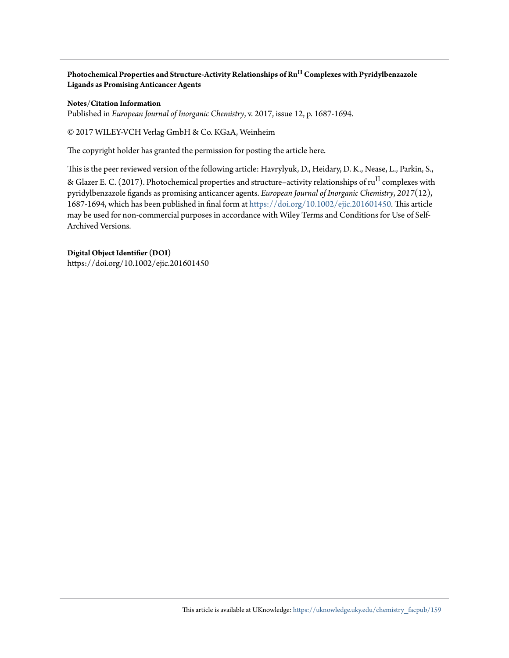**Photochemical Properties and Structure-Activity Relationships of Ru II Complexes with Pyridylbenzazole Ligands as Promising Anticancer Agents**

#### **Notes/Citation Information**

Published in *European Journal of Inorganic Chemistry*, v. 2017, issue 12, p. 1687-1694.

© 2017 WILEY‐VCH Verlag GmbH & Co. KGaA, Weinheim

The copyright holder has granted the permission for posting the article here.

This is the peer reviewed version of the following article: Havrylyuk, D., Heidary, D. K., Nease, L., Parkin, S., & Glazer E. C. (2017). Photochemical properties and structure–activity relationships of ru<sup>II</sup> complexes with pyridylbenzazole figands as promising anticancer agents. *European Journal of Inorganic Chemistry*, *2017*(12), 1687-1694, which has been published in final form at [https://doi.org/10.1002/ejic.201601450.](https://doi.org/10.1002/ejic.201601450) This article may be used for non-commercial purposes in accordance with Wiley Terms and Conditions for Use of Self-Archived Versions.

#### **Digital Object Identifier (DOI)**

https://doi.org/10.1002/ejic.201601450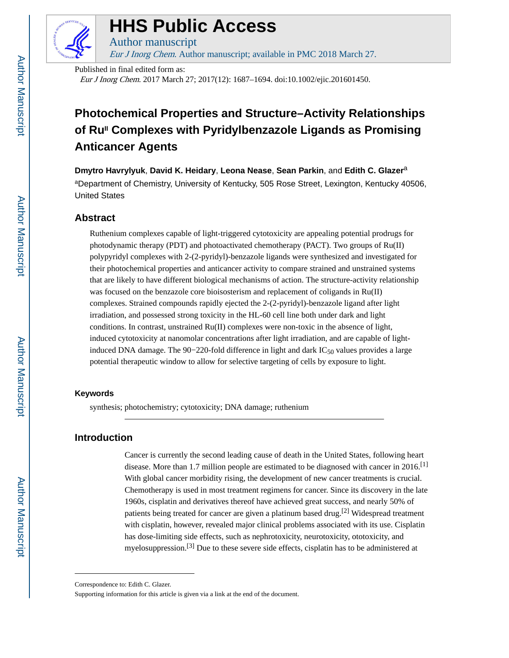

## **HHS Public Access**

Author manuscript Eur J Inorg Chem. Author manuscript; available in PMC 2018 March 27.

Published in final edited form as: Eur J Inorg Chem. 2017 March 27; 2017(12): 1687–1694. doi:10.1002/ejic.201601450.

## **Photochemical Properties and Structure–Activity Relationships of RuII Complexes with Pyridylbenzazole Ligands as Promising Anticancer Agents**

**Dmytro Havrylyuk**, **David K. Heidary**, **Leona Nease**, **Sean Parkin**, and **Edith C. Glazer**<sup>a</sup>

aDepartment of Chemistry, University of Kentucky, 505 Rose Street, Lexington, Kentucky 40506, United States

#### **Abstract**

Ruthenium complexes capable of light-triggered cytotoxicity are appealing potential prodrugs for photodynamic therapy (PDT) and photoactivated chemotherapy (PACT). Two groups of Ru(II) polypyridyl complexes with 2-(2-pyridyl)-benzazole ligands were synthesized and investigated for their photochemical properties and anticancer activity to compare strained and unstrained systems that are likely to have different biological mechanisms of action. The structure-activity relationship was focused on the benzazole core bioisosterism and replacement of coligands in Ru(II) complexes. Strained compounds rapidly ejected the 2-(2-pyridyl)-benzazole ligand after light irradiation, and possessed strong toxicity in the HL-60 cell line both under dark and light conditions. In contrast, unstrained Ru(II) complexes were non-toxic in the absence of light, induced cytotoxicity at nanomolar concentrations after light irradiation, and are capable of lightinduced DNA damage. The 90−220-fold difference in light and dark  $IC_{50}$  values provides a large potential therapeutic window to allow for selective targeting of cells by exposure to light.

#### **Keywords**

synthesis; photochemistry; cytotoxicity; DNA damage; ruthenium

#### **Introduction**

Cancer is currently the second leading cause of death in the United States, following heart disease. More than 1.7 million people are estimated to be diagnosed with cancer in 2016.<sup>[1]</sup> With global cancer morbidity rising, the development of new cancer treatments is crucial. Chemotherapy is used in most treatment regimens for cancer. Since its discovery in the late 1960s, cisplatin and derivatives thereof have achieved great success, and nearly 50% of patients being treated for cancer are given a platinum based drug.<sup>[2]</sup> Widespread treatment with cisplatin, however, revealed major clinical problems associated with its use. Cisplatin has dose-limiting side effects, such as nephrotoxicity, neurotoxicity, ototoxicity, and myelosuppression.<sup>[3]</sup> Due to these severe side effects, cisplatin has to be administered at

Correspondence to: Edith C. Glazer.

Supporting information for this article is given via a link at the end of the document.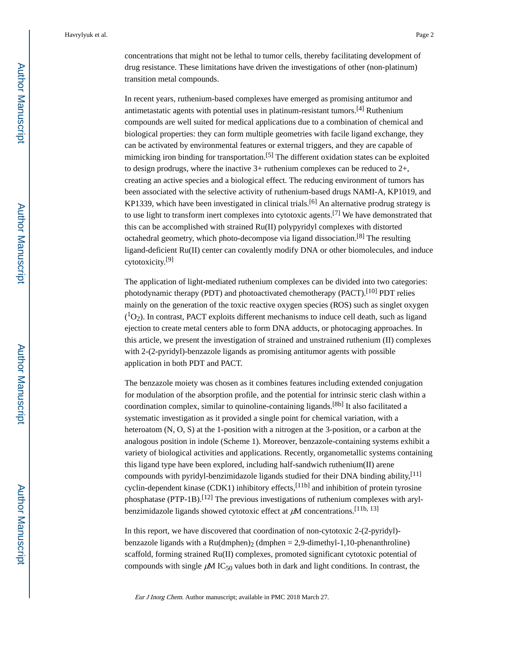concentrations that might not be lethal to tumor cells, thereby facilitating development of drug resistance. These limitations have driven the investigations of other (non-platinum) transition metal compounds.

In recent years, ruthenium-based complexes have emerged as promising antitumor and antimetastatic agents with potential uses in platinum-resistant tumors.[4] Ruthenium compounds are well suited for medical applications due to a combination of chemical and biological properties: they can form multiple geometries with facile ligand exchange, they can be activated by environmental features or external triggers, and they are capable of mimicking iron binding for transportation.<sup>[5]</sup> The different oxidation states can be exploited to design prodrugs, where the inactive 3+ ruthenium complexes can be reduced to 2+, creating an active species and a biological effect. The reducing environment of tumors has been associated with the selective activity of ruthenium-based drugs NAMI-A, KP1019, and KP1339, which have been investigated in clinical trials.<sup>[6]</sup> An alternative prodrug strategy is to use light to transform inert complexes into cytotoxic agents.<sup>[7]</sup> We have demonstrated that this can be accomplished with strained Ru(II) polypyridyl complexes with distorted octahedral geometry, which photo-decompose via ligand dissociation.<sup>[8]</sup> The resulting ligand-deficient Ru(II) center can covalently modify DNA or other biomolecules, and induce cytotoxicity.[9]

The application of light-mediated ruthenium complexes can be divided into two categories: photodynamic therapy (PDT) and photoactivated chemotherapy (PACT).<sup>[10]</sup> PDT relies mainly on the generation of the toxic reactive oxygen species (ROS) such as singlet oxygen  $(^{1}O_{2})$ . In contrast, PACT exploits different mechanisms to induce cell death, such as ligand ejection to create metal centers able to form DNA adducts, or photocaging approaches. In this article, we present the investigation of strained and unstrained ruthenium (II) complexes with 2-(2-pyridyl)-benzazole ligands as promising antitumor agents with possible application in both PDT and PACT.

The benzazole moiety was chosen as it combines features including extended conjugation for modulation of the absorption profile, and the potential for intrinsic steric clash within a coordination complex, similar to quinoline-containing ligands.<sup>[8b]</sup> It also facilitated a systematic investigation as it provided a single point for chemical variation, with a heteroatom (N, O, S) at the 1-position with a nitrogen at the 3-position, or a carbon at the analogous position in indole (Scheme 1). Moreover, benzazole-containing systems exhibit a variety of biological activities and applications. Recently, organometallic systems containing this ligand type have been explored, including half-sandwich ruthenium(II) arene compounds with pyridyl-benzimidazole ligands studied for their DNA binding ability,  $[11]$ cyclin-dependent kinase (CDK1) inhibitory effects,<sup>[11b]</sup> and inhibition of protein tyrosine phosphatase (PTP-1B).<sup>[12]</sup> The previous investigations of ruthenium complexes with arylbenzimidazole ligands showed cytotoxic effect at  $\mu$ M concentrations.<sup>[11b, 13]</sup>

In this report, we have discovered that coordination of non-cytotoxic 2-(2-pyridyl) benzazole ligands with a Ru(dmphen)<sub>2</sub> (dmphen = 2,9-dimethyl-1,10-phenanthroline) scaffold, forming strained Ru(II) complexes, promoted significant cytotoxic potential of compounds with single  $\mu$ M IC<sub>50</sub> values both in dark and light conditions. In contrast, the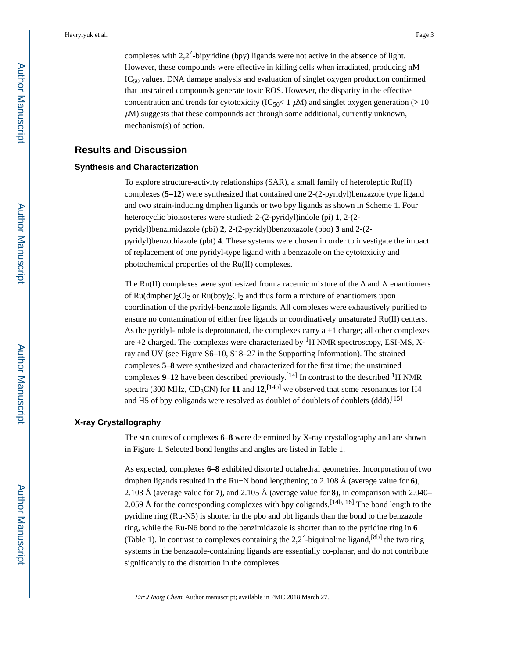complexes with 2,2′-bipyridine (bpy) ligands were not active in the absence of light. However, these compounds were effective in killing cells when irradiated, producing nM  $IC_{50}$  values. DNA damage analysis and evaluation of singlet oxygen production confirmed that unstrained compounds generate toxic ROS. However, the disparity in the effective concentration and trends for cytotoxicity (IC<sub>50</sub>< 1  $\mu$ M) and singlet oxygen generation (> 10  $\mu$ M) suggests that these compounds act through some additional, currently unknown, mechanism(s) of action.

#### **Results and Discussion**

#### **Synthesis and Characterization**

To explore structure-activity relationships (SAR), a small family of heteroleptic Ru(II) complexes (**5–12**) were synthesized that contained one 2-(2-pyridyl)benzazole type ligand and two strain-inducing dmphen ligands or two bpy ligands as shown in Scheme 1. Four heterocyclic bioisosteres were studied: 2-(2-pyridyl)indole (pi) **1**, 2-(2 pyridyl)benzimidazole (pbi) **2**, 2-(2-pyridyl)benzoxazole (pbo) **3** and 2-(2 pyridyl)benzothiazole (pbt) **4**. These systems were chosen in order to investigate the impact of replacement of one pyridyl-type ligand with a benzazole on the cytotoxicity and photochemical properties of the Ru(II) complexes.

The Ru(II) complexes were synthesized from a racemic mixture of the  $\Box$  and  $\Lambda$  enantiomers of Ru(dmphen)<sub>2</sub>Cl<sub>2</sub> or Ru(bpy)<sub>2</sub>Cl<sub>2</sub> and thus form a mixture of enantiomers upon coordination of the pyridyl-benzazole ligands. All complexes were exhaustively purified to ensure no contamination of either free ligands or coordinatively unsaturated Ru(II) centers. As the pyridyl-indole is deprotonated, the complexes carry a +1 charge; all other complexes are  $+2$  charged. The complexes were characterized by  ${}^{1}$ H NMR spectroscopy, ESI-MS, Xray and UV (see Figure S6–10, S18–27 in the Supporting Information). The strained complexes **5**–**8** were synthesized and characterized for the first time; the unstrained complexes **9–12** have been described previously.<sup>[14]</sup> In contrast to the described <sup>1</sup>H NMR spectra (300 MHz,  $CD_3CN$ ) for 11 and  $12$ ,  $[14b]$  we observed that some resonances for H4 and H5 of bpy coligands were resolved as doublet of doublets of doublets (ddd).<sup>[15]</sup>

#### **X-ray Crystallography**

The structures of complexes **6**–**8** were determined by X-ray crystallography and are shown in Figure 1. Selected bond lengths and angles are listed in Table 1.

As expected, complexes **6–8** exhibited distorted octahedral geometries. Incorporation of two dmphen ligands resulted in the Ru−N bond lengthening to 2.108 Å (average value for **6**), 2.103 Å (average value for **7**), and 2.105 Å (average value for **8**), in comparison with 2.040**–** 2.059 Å for the corresponding complexes with bpy coligands.<sup>[14b, 16]</sup> The bond length to the pyridine ring (Ru-N5) is shorter in the pbo and pbt ligands than the bond to the benzazole ring, while the Ru-N6 bond to the benzimidazole is shorter than to the pyridine ring in **6**  (Table 1). In contrast to complexes containing the  $2,2'$ -biquinoline ligand,  $[8b]$  the two ring systems in the benzazole-containing ligands are essentially co-planar, and do not contribute significantly to the distortion in the complexes.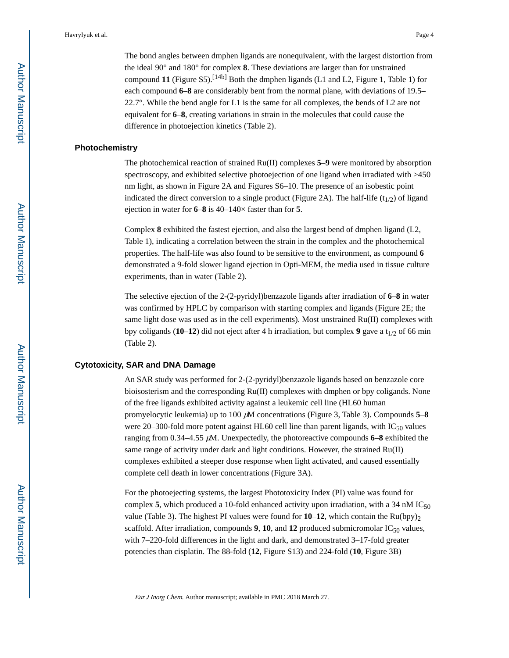The bond angles between dmphen ligands are nonequivalent, with the largest distortion from the ideal 90° and 180° for complex **8**. These deviations are larger than for unstrained compound 11 (Figure S5).<sup>[14b]</sup> Both the dmphen ligands (L1 and L2, Figure 1, Table 1) for each compound **6**–**8** are considerably bent from the normal plane, with deviations of 19.5– 22.7°. While the bend angle for L1 is the same for all complexes, the bends of L2 are not equivalent for **6**–**8**, creating variations in strain in the molecules that could cause the difference in photoejection kinetics (Table 2).

#### **Photochemistry**

The photochemical reaction of strained Ru(II) complexes **5**–**9** were monitored by absorption spectroscopy, and exhibited selective photoejection of one ligand when irradiated with  $>450$ nm light, as shown in Figure 2A and Figures S6–10. The presence of an isobestic point indicated the direct conversion to a single product (Figure 2A). The half-life  $(t_{1/2})$  of ligand ejection in water for **6**–**8** is 40–140× faster than for **5**.

Complex **8** exhibited the fastest ejection, and also the largest bend of dmphen ligand (L2, Table 1), indicating a correlation between the strain in the complex and the photochemical properties. The half-life was also found to be sensitive to the environment, as compound **6**  demonstrated a 9-fold slower ligand ejection in Opti-MEM, the media used in tissue culture experiments, than in water (Table 2).

The selective ejection of the 2-(2-pyridyl)benzazole ligands after irradiation of **6**–**8** in water was confirmed by HPLC by comparison with starting complex and ligands (Figure 2E; the same light dose was used as in the cell experiments). Most unstrained  $Ru(II)$  complexes with bpy coligands ( $10-12$ ) did not eject after 4 h irradiation, but complex 9 gave a t<sub>1/2</sub> of 66 min (Table 2).

#### **Cytotoxicity, SAR and DNA Damage**

An SAR study was performed for 2-(2-pyridyl)benzazole ligands based on benzazole core bioisosterism and the corresponding Ru(II) complexes with dmphen or bpy coligands. None of the free ligands exhibited activity against a leukemic cell line (HL60 human promyelocytic leukemia) up to 100 μM concentrations (Figure 3, Table 3). Compounds **5**–**8**  were 20–300-fold more potent against HL60 cell line than parent ligands, with  $IC_{50}$  values ranging from  $0.34-4.55 \mu M$ . Unexpectedly, the photoreactive compounds  $6-8$  exhibited the same range of activity under dark and light conditions. However, the strained Ru(II) complexes exhibited a steeper dose response when light activated, and caused essentially complete cell death in lower concentrations (Figure 3A).

For the photoejecting systems, the largest Phototoxicity Index (PI) value was found for complex **5**, which produced a 10-fold enhanced activity upon irradiation, with a 34 nM IC<sub>50</sub> value (Table 3). The highest PI values were found for  $10-12$ , which contain the Ru(bpy)<sub>2</sub> scaffold. After irradiation, compounds  $9$ ,  $10$ , and  $12$  produced submicromolar IC<sub>50</sub> values, with 7–220-fold differences in the light and dark, and demonstrated 3–17-fold greater potencies than cisplatin. The 88-fold (**12**, Figure S13) and 224-fold (**10**, Figure 3B)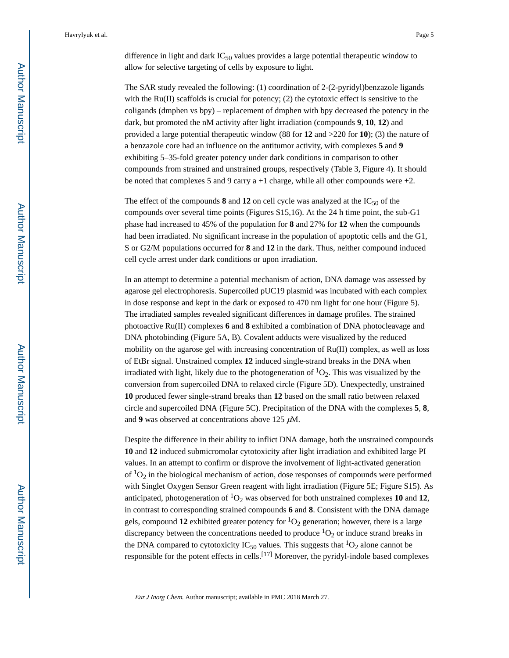The SAR study revealed the following: (1) coordination of 2-(2-pyridyl)benzazole ligands with the  $Ru(II)$  scaffolds is crucial for potency; (2) the cytotoxic effect is sensitive to the coligands (dmphen vs bpy) – replacement of dmphen with bpy decreased the potency in the dark, but promoted the nM activity after light irradiation (compounds **9**, **10**, **12**) and provided a large potential therapeutic window (88 for **12** and >220 for **10**); (3) the nature of a benzazole core had an influence on the antitumor activity, with complexes **5** and **9**  exhibiting 5–35-fold greater potency under dark conditions in comparison to other compounds from strained and unstrained groups, respectively (Table 3, Figure 4). It should be noted that complexes 5 and 9 carry  $a + 1$  charge, while all other compounds were  $+2$ .

The effect of the compounds  $8$  and  $12$  on cell cycle was analyzed at the  $IC_{50}$  of the compounds over several time points (Figures S15,16). At the 24 h time point, the sub-G1 phase had increased to 45% of the population for **8** and 27% for **12** when the compounds had been irradiated. No significant increase in the population of apoptotic cells and the G1, S or G2/M populations occurred for **8** and **12** in the dark. Thus, neither compound induced cell cycle arrest under dark conditions or upon irradiation.

In an attempt to determine a potential mechanism of action, DNA damage was assessed by agarose gel electrophoresis. Supercoiled pUC19 plasmid was incubated with each complex in dose response and kept in the dark or exposed to 470 nm light for one hour (Figure 5). The irradiated samples revealed significant differences in damage profiles. The strained photoactive Ru(II) complexes **6** and **8** exhibited a combination of DNA photocleavage and DNA photobinding (Figure 5A, B). Covalent adducts were visualized by the reduced mobility on the agarose gel with increasing concentration of Ru(II) complex, as well as loss of EtBr signal. Unstrained complex **12** induced single-strand breaks in the DNA when irradiated with light, likely due to the photogeneration of  ${}^{1}O_{2}$ . This was visualized by the conversion from supercoiled DNA to relaxed circle (Figure 5D). Unexpectedly, unstrained **10** produced fewer single-strand breaks than **12** based on the small ratio between relaxed circle and supercoiled DNA (Figure 5C). Precipitation of the DNA with the complexes **5**, **8**, and **9** was observed at concentrations above 125 μM.

Despite the difference in their ability to inflict DNA damage, both the unstrained compounds **10** and **12** induced submicromolar cytotoxicity after light irradiation and exhibited large PI values. In an attempt to confirm or disprove the involvement of light-activated generation of  ${}^{1}O_{2}$  in the biological mechanism of action, dose responses of compounds were performed with Singlet Oxygen Sensor Green reagent with light irradiation (Figure 5E; Figure S15). As anticipated, photogeneration of  ${}^{1}O_{2}$  was observed for both unstrained complexes 10 and 12, in contrast to corresponding strained compounds **6** and **8**. Consistent with the DNA damage gels, compound 12 exhibited greater potency for  ${}^{1}O_{2}$  generation; however, there is a large discrepancy between the concentrations needed to produce  ${}^{1}O_{2}$  or induce strand breaks in the DNA compared to cytotoxicity IC<sub>50</sub> values. This suggests that <sup>1</sup>O<sub>2</sub> alone cannot be responsible for the potent effects in cells.<sup>[17]</sup> Moreover, the pyridyl-indole based complexes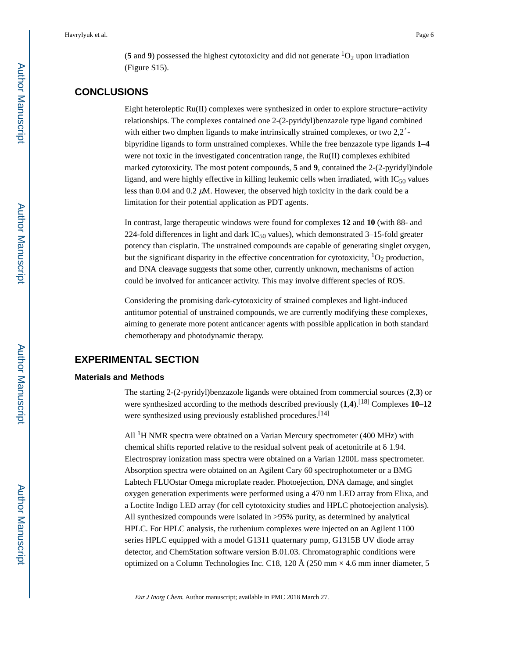(**5** and **9**) possessed the highest cytotoxicity and did not generate  ${}^{1}O_{2}$  upon irradiation (Figure S15).

#### **CONCLUSIONS**

Eight heteroleptic Ru(II) complexes were synthesized in order to explore structure−activity relationships. The complexes contained one 2-(2-pyridyl)benzazole type ligand combined with either two dmphen ligands to make intrinsically strained complexes, or two 2,2<sup>'</sup>bipyridine ligands to form unstrained complexes. While the free benzazole type ligands **1**–**4**  were not toxic in the investigated concentration range, the Ru(II) complexes exhibited marked cytotoxicity. The most potent compounds, **5** and **9**, contained the 2-(2-pyridyl)indole ligand, and were highly effective in killing leukemic cells when irradiated, with  $IC_{50}$  values less than 0.04 and 0.2  $\mu$ M. However, the observed high toxicity in the dark could be a limitation for their potential application as PDT agents.

In contrast, large therapeutic windows were found for complexes **12** and **10** (with 88- and 224-fold differences in light and dark  $IC_{50}$  values), which demonstrated 3–15-fold greater potency than cisplatin. The unstrained compounds are capable of generating singlet oxygen, but the significant disparity in the effective concentration for cytotoxicity,  ${}^{1}O_{2}$  production, and DNA cleavage suggests that some other, currently unknown, mechanisms of action could be involved for anticancer activity. This may involve different species of ROS.

Considering the promising dark-cytotoxicity of strained complexes and light-induced antitumor potential of unstrained compounds, we are currently modifying these complexes, aiming to generate more potent anticancer agents with possible application in both standard chemotherapy and photodynamic therapy.

#### **EXPERIMENTAL SECTION**

#### **Materials and Methods**

The starting 2-(2-pyridyl)benzazole ligands were obtained from commercial sources (**2**,**3**) or were synthesized according to the methods described previously  $(1,4)$ .<sup>[18]</sup> Complexes 10–12 were synthesized using previously established procedures.<sup>[14]</sup>

All  ${}^{1}H$  NMR spectra were obtained on a Varian Mercury spectrometer (400 MHz) with chemical shifts reported relative to the residual solvent peak of acetonitrile at δ 1.94. Electrospray ionization mass spectra were obtained on a Varian 1200L mass spectrometer. Absorption spectra were obtained on an Agilent Cary 60 spectrophotometer or a BMG Labtech FLUOstar Omega microplate reader. Photoejection, DNA damage, and singlet oxygen generation experiments were performed using a 470 nm LED array from Elixa, and a Loctite Indigo LED array (for cell cytotoxicity studies and HPLC photoejection analysis). All synthesized compounds were isolated in >95% purity, as determined by analytical HPLC. For HPLC analysis, the ruthenium complexes were injected on an Agilent 1100 series HPLC equipped with a model G1311 quaternary pump, G1315B UV diode array detector, and ChemStation software version B.01.03. Chromatographic conditions were optimized on a Column Technologies Inc. C18, 120 Å (250 mm  $\times$  4.6 mm inner diameter, 5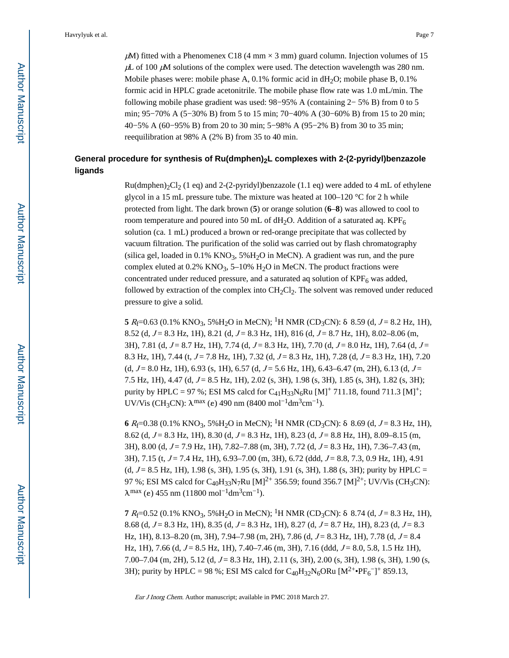$\mu$ M) fitted with a Phenomenex C18 (4 mm  $\times$  3 mm) guard column. Injection volumes of 15  $\mu$ L of 100  $\mu$ M solutions of the complex were used. The detection wavelength was 280 nm. Mobile phases were: mobile phase A,  $0.1\%$  formic acid in dH<sub>2</sub>O; mobile phase B,  $0.1\%$ formic acid in HPLC grade acetonitrile. The mobile phase flow rate was 1.0 mL/min. The following mobile phase gradient was used: 98−95% A (containing 2− 5% B) from 0 to 5 min; 95−70% A (5−30% B) from 5 to 15 min; 70−40% A (30−60% B) from 15 to 20 min; 40−5% A (60−95% B) from 20 to 30 min; 5−98% A (95−2% B) from 30 to 35 min; reequilibration at 98% A (2% B) from 35 to 40 min.

#### **General procedure for synthesis of Ru(dmphen)2L complexes with 2-(2-pyridyl)benzazole ligands**

 $Ru(dmphen)2Cl<sub>2</sub> (1 eq)$  and 2-(2-pyridyl)benzazole (1.1 eq) were added to 4 mL of ethylene glycol in a 15 mL pressure tube. The mixture was heated at 100–120 °C for 2 h while protected from light. The dark brown (**5**) or orange solution (**6**–**8**) was allowed to cool to room temperature and poured into 50 mL of  $dH_2O$ . Addition of a saturated aq. KPF<sub>6</sub> solution (ca. 1 mL) produced a brown or red-orange precipitate that was collected by vacuum filtration. The purification of the solid was carried out by flash chromatography (silica gel, loaded in  $0.1\%$  KNO<sub>3</sub>, 5% $H<sub>2</sub>O$  in MeCN). A gradient was run, and the pure complex eluted at  $0.2\%$  KNO<sub>3</sub>, 5–10% H<sub>2</sub>O in MeCN. The product fractions were concentrated under reduced pressure, and a saturated aq solution of  $KPF_6$  was added, followed by extraction of the complex into  $CH_2Cl_2$ . The solvent was removed under reduced pressure to give a solid.

**5**  $R_f$ =0.63 (0.1% KNO<sub>3</sub>, 5%H<sub>2</sub>O in MeCN); <sup>1</sup>H NMR (CD<sub>3</sub>CN): δ 8.59 (d,  $J = 8.2$  Hz, 1H), 8.52 (d,  $J = 8.3$  Hz, 1H), 8.21 (d,  $J = 8.3$  Hz, 1H), 816 (d,  $J = 8.7$  Hz, 1H), 8.02–8.06 (m, 3H), 7.81 (d,  $J = 8.7$  Hz, 1H), 7.74 (d,  $J = 8.3$  Hz, 1H), 7.70 (d,  $J = 8.0$  Hz, 1H), 7.64 (d,  $J =$ 8.3 Hz, 1H), 7.44 (t,  $J = 7.8$  Hz, 1H), 7.32 (d,  $J = 8.3$  Hz, 1H), 7.28 (d,  $J = 8.3$  Hz, 1H), 7.20 (d,  $J = 8.0$  Hz, 1H), 6.93 (s, 1H), 6.57 (d,  $J = 5.6$  Hz, 1H), 6.43–6.47 (m, 2H), 6.13 (d,  $J =$ 7.5 Hz, 1H), 4.47 (d,  $J = 8.5$  Hz, 1H), 2.02 (s, 3H), 1.98 (s, 3H), 1.85 (s, 3H), 1.82 (s, 3H); purity by HPLC = 97 %; ESI MS calcd for  $C_{41}H_{33}N_6Ru$  [M]<sup>+</sup> 711.18, found 711.3 [M]<sup>+</sup>; UV/Vis (CH<sub>3</sub>CN):  $\lambda^{\text{max}}$  (ε) 490 nm (8400 mol<sup>-1</sup>dm<sup>3</sup>cm<sup>-1</sup>).

**6**  $R_f$ =0.38 (0.1% KNO<sub>3</sub>, 5%H<sub>2</sub>O in MeCN); <sup>1</sup>H NMR (CD<sub>3</sub>CN): δ 8.69 (d,  $J = 8.3$  Hz, 1H), 8.62 (d,  $J = 8.3$  Hz, 1H), 8.30 (d,  $J = 8.3$  Hz, 1H), 8.23 (d,  $J = 8.8$  Hz, 1H), 8.09–8.15 (m, 3H), 8.00 (d,  $J = 7.9$  Hz, 1H),  $7.82 - 7.88$  (m, 3H),  $7.72$  (d,  $J = 8.3$  Hz, 1H),  $7.36 - 7.43$  (m, 3H), 7.15 (t,  $J = 7.4$  Hz, 1H), 6.93–7.00 (m, 3H), 6.72 (ddd,  $J = 8.8, 7.3, 0.9$  Hz, 1H), 4.91 (d,  $J = 8.5$  Hz, 1H), 1.98 (s, 3H), 1.95 (s, 3H), 1.91 (s, 3H), 1.88 (s, 3H); purity by HPLC = 97 %; ESI MS calcd for C<sub>40</sub>H<sub>33</sub>N<sub>7</sub>Ru [M]<sup>2+</sup> 356.59; found 356.7 [M]<sup>2+</sup>; UV/Vis (CH<sub>3</sub>CN):  $\lambda^{\text{max}}$  (e) 455 nm (11800 mol<sup>-1</sup>dm<sup>3</sup>cm<sup>-1</sup>).

**7**  $R_f$ =0.52 (0.1% KNO<sub>3</sub>, 5%H<sub>2</sub>O in MeCN); <sup>1</sup>H NMR (CD<sub>3</sub>CN): δ 8.74 (d, J = 8.3 Hz, 1H), 8.68 (d,  $J = 8.3$  Hz, 1H), 8.35 (d,  $J = 8.3$  Hz, 1H), 8.27 (d,  $J = 8.7$  Hz, 1H), 8.23 (d,  $J = 8.3$ Hz, 1H), 8.13–8.20 (m, 3H), 7.94–7.98 (m, 2H), 7.86 (d,  $J = 8.3$  Hz, 1H), 7.78 (d,  $J = 8.4$ Hz, 1H), 7.66 (d,  $J = 8.5$  Hz, 1H), 7.40–7.46 (m, 3H), 7.16 (ddd,  $J = 8.0$ , 5.8, 1.5 Hz 1H), 7.00–7.04 (m, 2H), 5.12 (d,  $J = 8.3$  Hz, 1H), 2.11 (s, 3H), 2.00 (s, 3H), 1.98 (s, 3H), 1.90 (s, 3H); purity by HPLC = 98 %; ESI MS calcd for  $C_{40}H_{32}N_6ORu$  [M<sup>2+</sup>•PF<sub>6</sub><sup>-</sup>]<sup>+</sup> 859.13,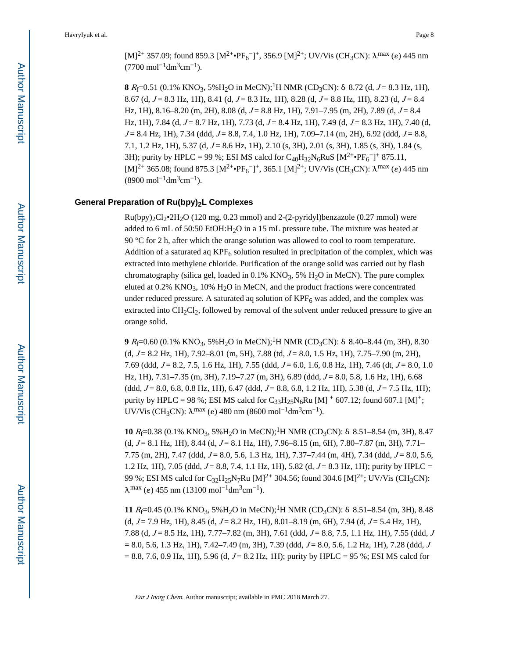[M]<sup>2+</sup> 357.09; found 859.3 [M<sup>2+</sup>•PF<sub>6</sub><sup>-</sup>]<sup>+</sup>, 356.9 [M]<sup>2+</sup>; UV/Vis (CH<sub>3</sub>CN):  $\lambda^{max}$  (e) 445 nm  $(7700 \text{ mol}^{-1} \text{dm}^3 \text{cm}^{-1}).$ 

**8**  $R_f$ =0.51 (0.1% KNO<sub>3</sub>, 5%H<sub>2</sub>O in MeCN);<sup>1</sup>H NMR (CD<sub>3</sub>CN): δ 8.72 (d,  $J = 8.3$  Hz, 1H), 8.67 (d,  $J = 8.3$  Hz, 1H), 8.41 (d,  $J = 8.3$  Hz, 1H), 8.28 (d,  $J = 8.8$  Hz, 1H), 8.23 (d,  $J = 8.4$ Hz, 1H), 8.16–8.20 (m, 2H), 8.08 (d,  $J = 8.8$  Hz, 1H), 7.91–7.95 (m, 2H), 7.89 (d,  $J = 8.4$ Hz, 1H), 7.84 (d,  $J = 8.7$  Hz, 1H), 7.73 (d,  $J = 8.4$  Hz, 1H), 7.49 (d,  $J = 8.3$  Hz, 1H), 7.40 (d,  $J = 8.4$  Hz, 1H), 7.34 (ddd,  $J = 8.8$ , 7.4, 1.0 Hz, 1H), 7.09–7.14 (m, 2H), 6.92 (ddd,  $J = 8.8$ , 7.1, 1.2 Hz, 1H), 5.37 (d,  $J = 8.6$  Hz, 1H), 2.10 (s, 3H), 2.01 (s, 3H), 1.85 (s, 3H), 1.84 (s, 3H); purity by HPLC = 99 %; ESI MS calcd for  $C_{40}H_{32}N_6RuS$  [M<sup>2+</sup>•PF<sub>6</sub><sup>-</sup>]<sup>+</sup> 875.11, [M]<sup>2+</sup> 365.08; found 875.3 [M<sup>2+</sup>•PF<sub>6</sub><sup>-</sup>]<sup>+</sup>, 365.1 [M]<sup>2+</sup>; UV/Vis (CH<sub>3</sub>CN):  $\lambda^{max}$  (e) 445 nm  $(8900 \text{ mol}^{-1} \text{dm}^3 \text{cm}^{-1}).$ 

#### **General Preparation of Ru(bpy)2L Complexes**

 $Ru(bpy)_{2}Cl_{2}•2H_{2}O$  (120 mg, 0.23 mmol) and 2-(2-pyridyl)benzazole (0.27 mmol) were added to 6 mL of 50:50 EtOH: $H<sub>2</sub>O$  in a 15 mL pressure tube. The mixture was heated at 90 °C for 2 h, after which the orange solution was allowed to cool to room temperature. Addition of a saturated aq  $KPF_6$  solution resulted in precipitation of the complex, which was extracted into methylene chloride. Purification of the orange solid was carried out by flash chromatography (silica gel, loaded in  $0.1\%$  KNO<sub>3</sub>, 5% H<sub>2</sub>O in MeCN). The pure complex eluted at  $0.2\%$  KNO<sub>3</sub>,  $10\%$  H<sub>2</sub>O in MeCN, and the product fractions were concentrated under reduced pressure. A saturated aq solution of  $KPF_6$  was added, and the complex was extracted into  $CH_2Cl_2$ , followed by removal of the solvent under reduced pressure to give an orange solid.

**9** R<sub>f</sub>=0.60 (0.1% KNO<sub>3</sub>, 5%H<sub>2</sub>O in MeCN);<sup>1</sup>H NMR (CD<sub>3</sub>CN): δ 8.40–8.44 (m, 3H), 8.30  $(d, J = 8.2 \text{ Hz}, 1\text{H}), 7.92-8.01 \text{ (m, 5H)}, 7.88 \text{ (td, } J = 8.0, 1.5 \text{ Hz}, 1\text{H}), 7.75-7.90 \text{ (m, 2H)},$ 7.69 (ddd,  $J = 8.2, 7.5, 1.6$  Hz, 1H), 7.55 (ddd,  $J = 6.0, 1.6, 0.8$  Hz, 1H), 7.46 (dt,  $J = 8.0, 1.0$ Hz, 1H),  $7.31-7.35$  (m, 3H),  $7.19-7.27$  (m, 3H), 6.89 (ddd,  $J = 8.0, 5.8, 1.6$  Hz, 1H), 6.68  $(\text{ddd}, J = 8.0, 6.8, 0.8 \text{ Hz}, 1\text{H}), 6.47 \text{ (ddd}, J = 8.8, 6.8, 1.2 \text{ Hz}, 1\text{H}), 5.38 \text{ (d, } J = 7.5 \text{ Hz}, 1\text{H});$ purity by HPLC = 98 %; ESI MS calcd for  $C_{33}H_{25}N_6Ru$  [M]  $^+$  607.12; found 607.1 [M]<sup>+</sup>; UV/Vis (CH<sub>3</sub>CN):  $\lambda^{\text{max}}$  (ε) 480 nm (8600 mol<sup>-1</sup>dm<sup>3</sup>cm<sup>-1</sup>).

**10**  $R_f$ =0.38 (0.1% KNO<sub>3</sub>, 5%H<sub>2</sub>O in MeCN);<sup>1</sup>H NMR (CD<sub>3</sub>CN): δ 8.51–8.54 (m, 3H), 8.47  $(d, J = 8.1 \text{ Hz}, 1\text{H})$ , 8.44  $(d, J = 8.1 \text{ Hz}, 1\text{H})$ , 7.96–8.15 (m, 6H), 7.80–7.87 (m, 3H), 7.71– 7.75 (m, 2H), 7.47 (ddd,  $J = 8.0$ , 5.6, 1.3 Hz, 1H), 7.37–7.44 (m, 4H), 7.34 (ddd,  $J = 8.0$ , 5.6, 1.2 Hz, 1H), 7.05 (ddd,  $J = 8.8$ , 7.4, 1.1 Hz, 1H), 5.82 (d,  $J = 8.3$  Hz, 1H); purity by HPLC = 99 %; ESI MS calcd for C<sub>32</sub>H<sub>25</sub>N<sub>7</sub>Ru [M]<sup>2+</sup> 304.56; found 304.6 [M]<sup>2+</sup>; UV/Vis (CH<sub>3</sub>CN):  $\lambda^{\text{max}}$  (e) 455 nm (13100 mol<sup>-1</sup>dm<sup>3</sup>cm<sup>-1</sup>).

**11**  $R_f$ =0.45 (0.1% KNO<sub>3</sub>, 5%H<sub>2</sub>O in MeCN);<sup>1</sup>H NMR (CD<sub>3</sub>CN): δ 8.51–8.54 (m, 3H), 8.48 (d,  $J = 7.9$  Hz, 1H), 8.45 (d,  $J = 8.2$  Hz, 1H), 8.01–8.19 (m, 6H), 7.94 (d,  $J = 5.4$  Hz, 1H), 7.88 (d,  $J = 8.5$  Hz, 1H), 7.77–7.82 (m, 3H), 7.61 (ddd,  $J = 8.8$ , 7.5, 1.1 Hz, 1H), 7.55 (ddd,  $J$  $= 8.0, 5.6, 1.3$  Hz, 1H), 7.42–7.49 (m, 3H), 7.39 (ddd,  $J = 8.0, 5.6, 1.2$  Hz, 1H), 7.28 (ddd, J  $= 8.8, 7.6, 0.9$  Hz, 1H), 5.96 (d,  $J = 8.2$  Hz, 1H); purity by HPLC = 95 %; ESI MS calcd for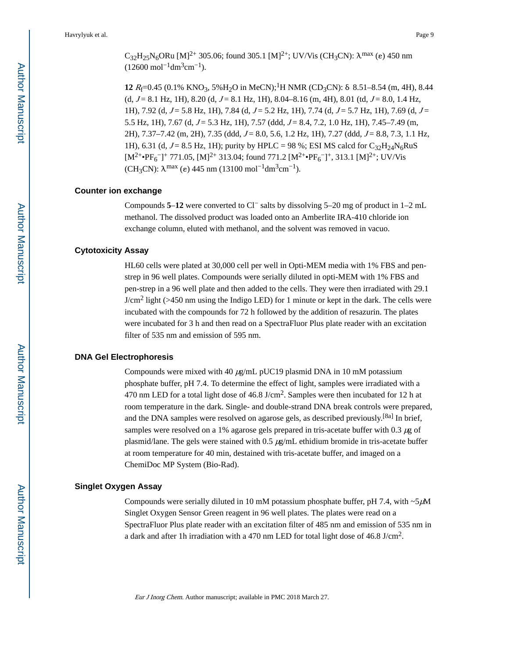$C_{32}H_{25}N_6ORu$  [M]<sup>2+</sup> 305.06; found 305.1 [M]<sup>2+</sup>; UV/Vis (CH<sub>3</sub>CN):  $\lambda$ <sup>max</sup> (e) 450 nm  $(12600 \text{ mol}^{-1} \text{dm}^3 \text{cm}^{-1}).$ 

**12**  $R_f=0.45$  (0.1% KNO<sub>3</sub>, 5%H<sub>2</sub>O in MeCN);<sup>1</sup>H NMR (CD<sub>3</sub>CN): δ 8.51–8.54 (m, 4H), 8.44 (d,  $J = 8.1$  Hz, 1H), 8.20 (d,  $J = 8.1$  Hz, 1H), 8.04–8.16 (m, 4H), 8.01 (td,  $J = 8.0$ , 1.4 Hz, 1H), 7.92 (d,  $J = 5.8$  Hz, 1H), 7.84 (d,  $J = 5.2$  Hz, 1H), 7.74 (d,  $J = 5.7$  Hz, 1H), 7.69 (d,  $J =$ 5.5 Hz, 1H), 7.67 (d,  $J = 5.3$  Hz, 1H), 7.57 (ddd,  $J = 8.4$ , 7.2, 1.0 Hz, 1H), 7.45–7.49 (m,  $2H$ ),  $7.37-7.42$  (m,  $2H$ ),  $7.35$  (ddd,  $J = 8.0$ ,  $5.6$ ,  $1.2$  Hz,  $1H$ ),  $7.27$  (ddd,  $J = 8.8$ ,  $7.3$ ,  $1.1$  Hz, 1H), 6.31 (d,  $J = 8.5$  Hz, 1H); purity by HPLC = 98 %; ESI MS calcd for  $C_{32}H_{24}N_6RuS$  $[M^{2+} \bullet PF_6^{-}]^+$  771.05,  $[M]^{2+}$  313.04; found 771.2  $[M^{2+} \bullet PF_6^{-}]^+$ , 313.1  $[M]^{2+}$ ; UV/Vis (CH<sub>3</sub>CN):  $\lambda^{\text{max}}$  (ε) 445 nm (13100 mol<sup>-1</sup>dm<sup>3</sup>cm<sup>-1</sup>).

#### **Counter ion exchange**

Compounds **5**–**12** were converted to Cl− salts by dissolving 5–20 mg of product in 1–2 mL methanol. The dissolved product was loaded onto an Amberlite IRA-410 chloride ion exchange column, eluted with methanol, and the solvent was removed in vacuo.

#### **Cytotoxicity Assay**

HL60 cells were plated at 30,000 cell per well in Opti-MEM media with 1% FBS and penstrep in 96 well plates. Compounds were serially diluted in opti-MEM with 1% FBS and pen-strep in a 96 well plate and then added to the cells. They were then irradiated with 29.1  $J/cm<sup>2</sup>$  light (>450 nm using the Indigo LED) for 1 minute or kept in the dark. The cells were incubated with the compounds for 72 h followed by the addition of resazurin. The plates were incubated for 3 h and then read on a SpectraFluor Plus plate reader with an excitation filter of 535 nm and emission of 595 nm.

#### **DNA Gel Electrophoresis**

Compounds were mixed with 40 μg/mL pUC19 plasmid DNA in 10 mM potassium phosphate buffer, pH 7.4. To determine the effect of light, samples were irradiated with a 470 nm LED for a total light dose of 46.8 J/cm<sup>2</sup>. Samples were then incubated for 12 h at room temperature in the dark. Single- and double-strand DNA break controls were prepared, and the DNA samples were resolved on agarose gels, as described previously.<sup>[8a]</sup> In brief, samples were resolved on a 1% agarose gels prepared in tris-acetate buffer with 0.3  $\mu$ g of plasmid/lane. The gels were stained with  $0.5 \mu g/mL$  ethidium bromide in tris-acetate buffer at room temperature for 40 min, destained with tris-acetate buffer, and imaged on a ChemiDoc MP System (Bio-Rad).

#### **Singlet Oxygen Assay**

Compounds were serially diluted in 10 mM potassium phosphate buffer, pH 7.4, with  $\sim$  5 $\mu$ M Singlet Oxygen Sensor Green reagent in 96 well plates. The plates were read on a SpectraFluor Plus plate reader with an excitation filter of 485 nm and emission of 535 nm in a dark and after 1h irradiation with a 470 nm LED for total light dose of 46.8 J/cm<sup>2</sup>.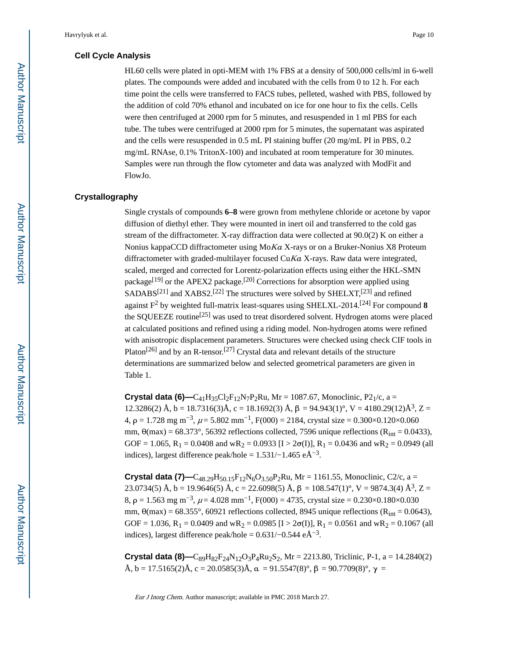#### **Cell Cycle Analysis**

HL60 cells were plated in opti-MEM with 1% FBS at a density of 500,000 cells/ml in 6-well plates. The compounds were added and incubated with the cells from 0 to 12 h. For each time point the cells were transferred to FACS tubes, pelleted, washed with PBS, followed by the addition of cold 70% ethanol and incubated on ice for one hour to fix the cells. Cells were then centrifuged at 2000 rpm for 5 minutes, and resuspended in 1 ml PBS for each tube. The tubes were centrifuged at 2000 rpm for 5 minutes, the supernatant was aspirated and the cells were resuspended in 0.5 mL PI staining buffer (20 mg/mL PI in PBS, 0.2 mg/mL RNAse, 0.1% TritonX-100) and incubated at room temperature for 30 minutes. Samples were run through the flow cytometer and data was analyzed with ModFit and FlowJo.

#### **Crystallography**

Single crystals of compounds **6–8** were grown from methylene chloride or acetone by vapor diffusion of diethyl ether. They were mounted in inert oil and transferred to the cold gas stream of the diffractometer. X-ray diffraction data were collected at 90.0(2) K on either a Nonius kappaCCD diffractometer using Mo<sup>K</sup>α X-rays or on a Bruker-Nonius X8 Proteum diffractometer with graded-multilayer focused  $CuKa$  X-rays. Raw data were integrated, scaled, merged and corrected for Lorentz-polarization effects using either the HKL-SMN package<sup>[19]</sup> or the APEX2 package.<sup>[20]</sup> Corrections for absorption were applied using  $SADABS^{[21]}$  and  $XABS2$ .<sup>[22]</sup> The structures were solved by  $SHELXT$ ,<sup>[23]</sup> and refined against F<sup>2</sup> by weighted full-matrix least-squares using SHELXL-2014.[24] For compound **8**  the SQUEEZE routine<sup>[25]</sup> was used to treat disordered solvent. Hydrogen atoms were placed at calculated positions and refined using a riding model. Non-hydrogen atoms were refined with anisotropic displacement parameters. Structures were checked using check CIF tools in Platon<sup>[26]</sup> and by an R-tensor.<sup>[27]</sup> Crystal data and relevant details of the structure determinations are summarized below and selected geometrical parameters are given in Table 1.

**Crystal data (6)—C<sub>41</sub>H<sub>35</sub>Cl<sub>2</sub>F<sub>12</sub>N<sub>7</sub>P<sub>2</sub>Ru, Mr = 1087.67, Monoclinic, P<sub>21</sub>/c, a =** 12.3286(2) Å, b = 18.7316(3)Å, c = 18.1692(3) Å, β = 94.943(1)°, V = 4180.29(12)Å<sup>3</sup>, Z = 4,  $\rho = 1.728$  mg m<sup>-3</sup>,  $\mu = 5.802$  mm<sup>-1</sup>, F(000) = 2184, crystal size = 0.300×0.120×0.060 mm,  $\theta$ (max) = 68.373°, 56392 reflections collected, 7596 unique reflections (R<sub>int</sub> = 0.0433), GOF = 1.065,  $R_1 = 0.0408$  and wR<sub>2</sub> = 0.0933 [I > 2 $\sigma$ (I)],  $R_1 = 0.0436$  and wR<sub>2</sub> = 0.0949 (all indices), largest difference peak/hole =  $1.531/-1.465$  eÅ<sup>-3</sup>.

**Crystal data (7)—C**<sub>48.29</sub>H<sub>50.15</sub>F<sub>12</sub>N<sub>6</sub>O<sub>3.50</sub>P<sub>2</sub>Ru, Mr = 1161.55, Monoclinic, C2/c, a = 23.0734(5) Å, b = 19.9646(5) Å, c = 22.6098(5) Å,  $\beta$  = 108.547(1)°, V = 9874.3(4) Å<sup>3</sup>, Z = 8,  $\rho = 1.563$  mg m<sup>-3</sup>,  $\mu = 4.028$  mm<sup>-1</sup>, F(000) = 4735, crystal size = 0.230×0.180×0.030 mm,  $\theta$ (max) = 68.355°, 60921 reflections collected, 8945 unique reflections (R<sub>int</sub> = 0.0643), GOF = 1.036, R<sub>1</sub> = 0.0409 and wR<sub>2</sub> = 0.0985 [I > 2 $\sigma$ (I)], R<sub>1</sub> = 0.0561 and wR<sub>2</sub> = 0.1067 (all indices), largest difference peak/hole =  $0.631/-0.544$  eÅ<sup>-3</sup>.

**Crystal data (8)—** $C_{89}H_{82}F_{24}N_{12}O_3P_4Ru_2S_2$ **, Mr = 2213.80, Triclinic, P-1, a = 14.2840(2)** Å, b = 17.5165(2)Å, c = 20.0585(3)Å,  $\alpha$  = 91.5547(8)°,  $\beta$  = 90.7709(8)°,  $\gamma$  =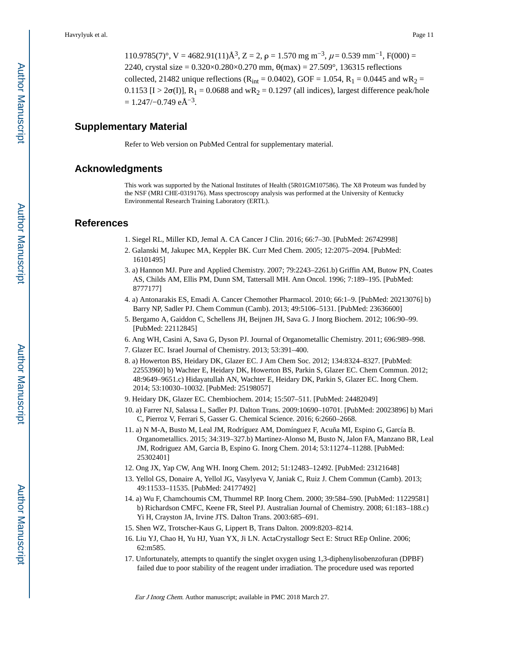110.9785(7)°, V = 4682.91(11) $\AA^3$ , Z = 2,  $\rho = 1.570$  mg m<sup>-3</sup>,  $\mu = 0.539$  mm<sup>-1</sup>, F(000) = 2240, crystal size =  $0.320 \times 0.280 \times 0.270$  mm,  $\theta$ (max) =  $27.509^{\circ}$ , 136315 reflections collected, 21482 unique reflections ( $R_{int} = 0.0402$ ), GOF = 1.054,  $R_1 = 0.0445$  and w $R_2 =$ 0.1153 [I >  $2\sigma(I)$ ], R<sub>1</sub> = 0.0688 and wR<sub>2</sub> = 0.1297 (all indices), largest difference peak/hole  $= 1.247/-0.749 \text{ e} \text{\AA}^{-3}.$ 

#### **Supplementary Material**

Refer to Web version on PubMed Central for supplementary material.

#### **Acknowledgments**

This work was supported by the National Institutes of Health (5R01GM107586). The X8 Proteum was funded by the NSF (MRI CHE-0319176). Mass spectroscopy analysis was performed at the University of Kentucky Environmental Research Training Laboratory (ERTL).

#### **References**

- 1. Siegel RL, Miller KD, Jemal A. CA Cancer J Clin. 2016; 66:7–30. [PubMed: 26742998]
- 2. Galanski M, Jakupec MA, Keppler BK. Curr Med Chem. 2005; 12:2075–2094. [PubMed: 16101495]
- 3. a) Hannon MJ. Pure and Applied Chemistry. 2007; 79:2243–2261.b) Griffin AM, Butow PN, Coates AS, Childs AM, Ellis PM, Dunn SM, Tattersall MH. Ann Oncol. 1996; 7:189–195. [PubMed: 8777177]
- 4. a) Antonarakis ES, Emadi A. Cancer Chemother Pharmacol. 2010; 66:1–9. [PubMed: 20213076] b) Barry NP, Sadler PJ. Chem Commun (Camb). 2013; 49:5106–5131. [PubMed: 23636600]
- 5. Bergamo A, Gaiddon C, Schellens JH, Beijnen JH, Sava G. J Inorg Biochem. 2012; 106:90–99. [PubMed: 22112845]
- 6. Ang WH, Casini A, Sava G, Dyson PJ. Journal of Organometallic Chemistry. 2011; 696:989–998.
- 7. Glazer EC. Israel Journal of Chemistry. 2013; 53:391–400.
- 8. a) Howerton BS, Heidary DK, Glazer EC. J Am Chem Soc. 2012; 134:8324–8327. [PubMed: 22553960] b) Wachter E, Heidary DK, Howerton BS, Parkin S, Glazer EC. Chem Commun. 2012; 48:9649–9651.c) Hidayatullah AN, Wachter E, Heidary DK, Parkin S, Glazer EC. Inorg Chem. 2014; 53:10030–10032. [PubMed: 25198057]
- 9. Heidary DK, Glazer EC. Chembiochem. 2014; 15:507–511. [PubMed: 24482049]
- 10. a) Farrer NJ, Salassa L, Sadler PJ. Dalton Trans. 2009:10690–10701. [PubMed: 20023896] b) Mari C, Pierroz V, Ferrari S, Gasser G. Chemical Science. 2016; 6:2660–2668.
- 11. a) N M-A, Busto M, Leal JM, Rodríguez AM, Domínguez F, Acuña MI, Espino G, García B. Organometallics. 2015; 34:319–327.b) Martinez-Alonso M, Busto N, Jalon FA, Manzano BR, Leal JM, Rodriguez AM, Garcia B, Espino G. Inorg Chem. 2014; 53:11274–11288. [PubMed: 25302401]
- 12. Ong JX, Yap CW, Ang WH. Inorg Chem. 2012; 51:12483–12492. [PubMed: 23121648]
- 13. Yellol GS, Donaire A, Yellol JG, Vasylyeva V, Janiak C, Ruiz J. Chem Commun (Camb). 2013; 49:11533–11535. [PubMed: 24177492]
- 14. a) Wu F, Chamchoumis CM, Thummel RP. Inorg Chem. 2000; 39:584–590. [PubMed: 11229581] b) Richardson CMFC, Keene FR, Steel PJ. Australian Journal of Chemistry. 2008; 61:183–188.c) Yi H, Crayston JA, Irvine JTS. Dalton Trans. 2003:685–691.
- 15. Shen WZ, Trotscher-Kaus G, Lippert B, Trans Dalton. 2009:8203–8214.
- 16. Liu YJ, Chao H, Yu HJ, Yuan YX, Ji LN. ActaCrystallogr Sect E: Struct REp Online. 2006; 62:m585.
- 17. Unfortunately, attempts to quantify the singlet oxygen using 1,3-diphenylisobenzofuran (DPBF) failed due to poor stability of the reagent under irradiation. The procedure used was reported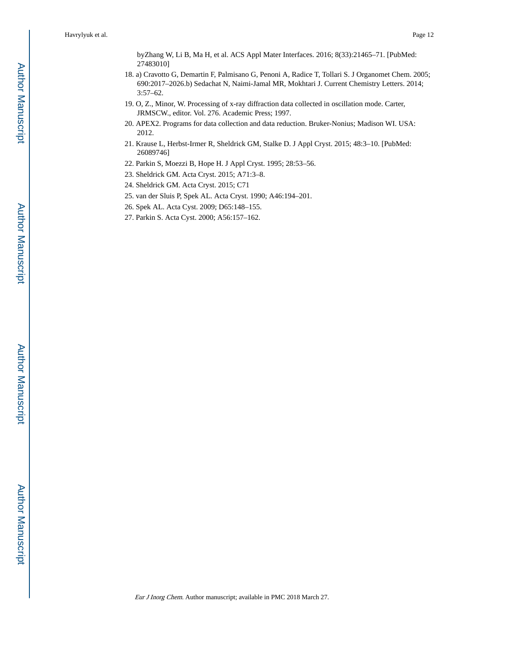byZhang W, Li B, Ma H, et al. ACS Appl Mater Interfaces. 2016; 8(33):21465–71. [PubMed: 27483010]

- 18. a) Cravotto G, Demartin F, Palmisano G, Penoni A, Radice T, Tollari S. J Organomet Chem. 2005; 690:2017–2026.b) Sedachat N, Naimi-Jamal MR, Mokhtari J. Current Chemistry Letters. 2014; 3:57–62.
- 19. O, Z., Minor, W. Processing of x-ray diffraction data collected in oscillation mode. Carter, JRMSCW., editor. Vol. 276. Academic Press; 1997.
- 20. APEX2. Programs for data collection and data reduction. Bruker-Nonius; Madison WI. USA: 2012.
- 21. Krause L, Herbst-Irmer R, Sheldrick GM, Stalke D. J Appl Cryst. 2015; 48:3–10. [PubMed: 26089746]
- 22. Parkin S, Moezzi B, Hope H. J Appl Cryst. 1995; 28:53–56.
- 23. Sheldrick GM. Acta Cryst. 2015; A71:3–8.
- 24. Sheldrick GM. Acta Cryst. 2015; C71
- 25. van der Sluis P, Spek AL. Acta Cryst. 1990; A46:194–201.
- 26. Spek AL. Acta Cyst. 2009; D65:148–155.
- 27. Parkin S. Acta Cyst. 2000; A56:157–162.

Author Manuscript

Author Manuscript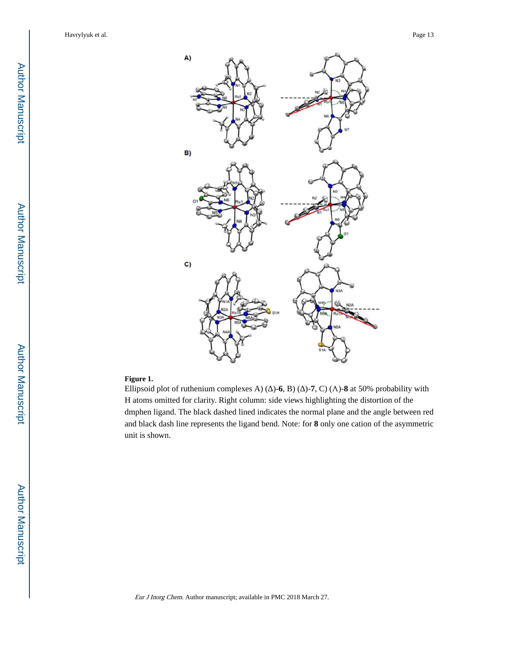

#### **Figure 1.**

Ellipsoid plot of ruthenium complexes A) ( $\rightarrow$  -6, B) ( $\rightarrow$  -7, C) ( $\land$ )-8 at 50% probability with H atoms omitted for clarity. Right column: side views highlighting the distortion of the dmphen ligand. The black dashed lined indicates the normal plane and the angle between red and black dash line represents the ligand bend. Note: for **8** only one cation of the asymmetric unit is shown.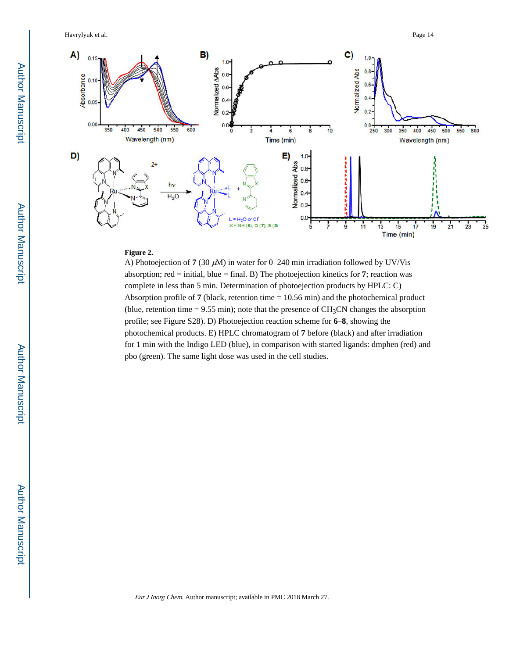Havrylyuk et al. Page 14



#### **Figure 2.**

A) Photoejection of **7** (30 μM) in water for 0–240 min irradiation followed by UV/Vis absorption; red  $=$  initial, blue  $=$  final. B) The photoejection kinetics for 7; reaction was complete in less than 5 min. Determination of photoejection products by HPLC: C) Absorption profile of **7** (black, retention time = 10.56 min) and the photochemical product (blue, retention time  $= 9.55$  min); note that the presence of CH<sub>3</sub>CN changes the absorption profile; see Figure S28). D) Photoejection reaction scheme for **6**–**8**, showing the photochemical products. E) HPLC chromatogram of **7** before (black) and after irradiation for 1 min with the Indigo LED (blue), in comparison with started ligands: dmphen (red) and pbo (green). The same light dose was used in the cell studies.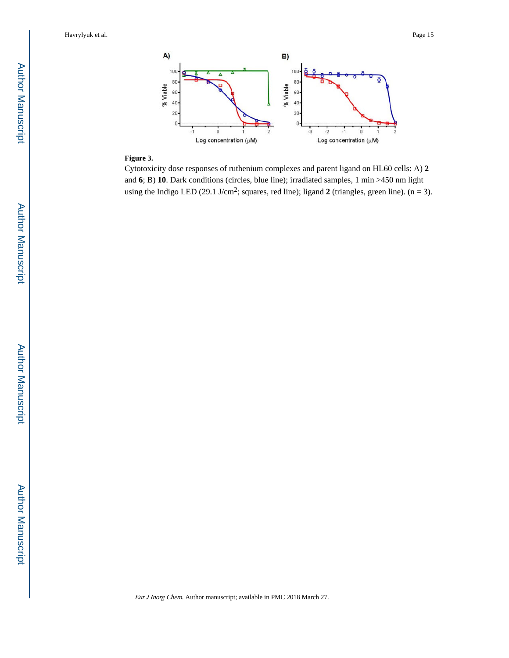

#### **Figure 3.**

Cytotoxicity dose responses of ruthenium complexes and parent ligand on HL60 cells: A) **2**  and **6**; B) **10**. Dark conditions (circles, blue line); irradiated samples, 1 min >450 nm light using the Indigo LED (29.1 J/cm<sup>2</sup>; squares, red line); ligand 2 (triangles, green line).  $(n = 3)$ .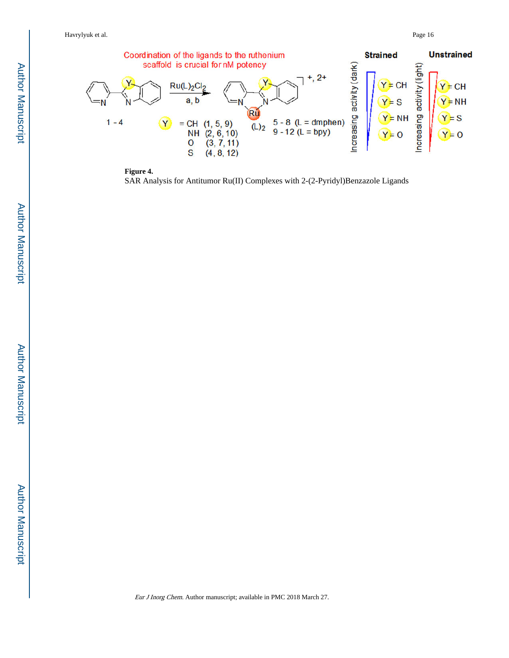



SAR Analysis for Antitumor Ru(II) Complexes with 2-(2-Pyridyl)Benzazole Ligands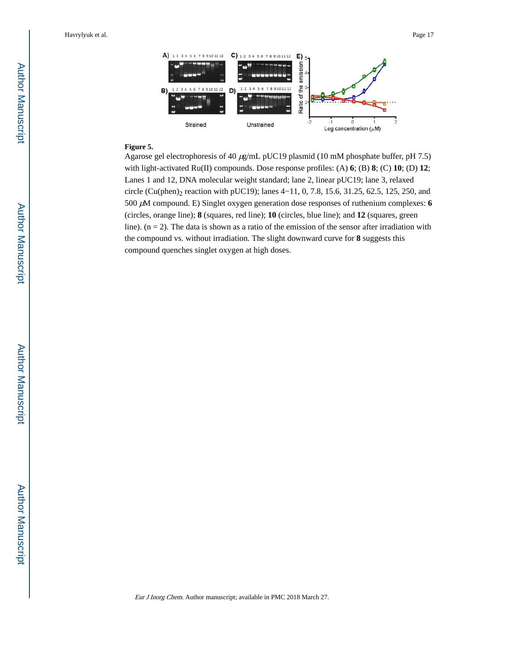

#### **Figure 5.**

Agarose gel electrophoresis of 40 μg/mL pUC19 plasmid (10 mM phosphate buffer, pH 7.5) with light-activated Ru(II) compounds. Dose response profiles: (A) **6**; (B) **8**; (C) **10**; (D) **12**; Lanes 1 and 12, DNA molecular weight standard; lane 2, linear pUC19; lane 3, relaxed circle (Cu(phen)<sub>2</sub> reaction with pUC19); lanes 4–11, 0, 7.8, 15.6, 31.25, 62.5, 125, 250, and 500 μM compound. E) Singlet oxygen generation dose responses of ruthenium complexes: **6**  (circles, orange line); **8** (squares, red line); **10** (circles, blue line); and **12** (squares, green line).  $(n = 2)$ . The data is shown as a ratio of the emission of the sensor after irradiation with the compound vs. without irradiation. The slight downward curve for **8** suggests this compound quenches singlet oxygen at high doses.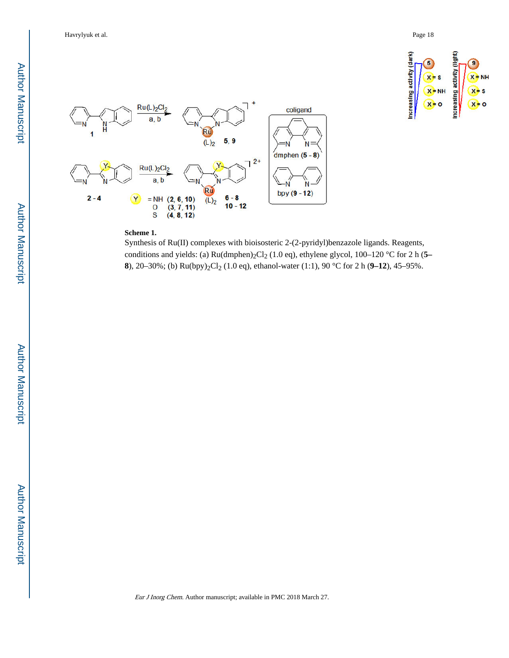



#### **Scheme 1.**

Synthesis of Ru(II) complexes with bioisosteric 2-(2-pyridyl)benzazole ligands. Reagents, conditions and yields: (a) Ru(dmphen)<sub>2</sub>Cl<sub>2</sub> (1.0 eq), ethylene glycol, 100–120 °C for 2 h (5– **8**), 20–30%; (b) Ru(bpy)<sub>2</sub>Cl<sub>2</sub> (1.0 eq), ethanol-water (1:1), 90 °C for 2 h (9–12), 45–95%.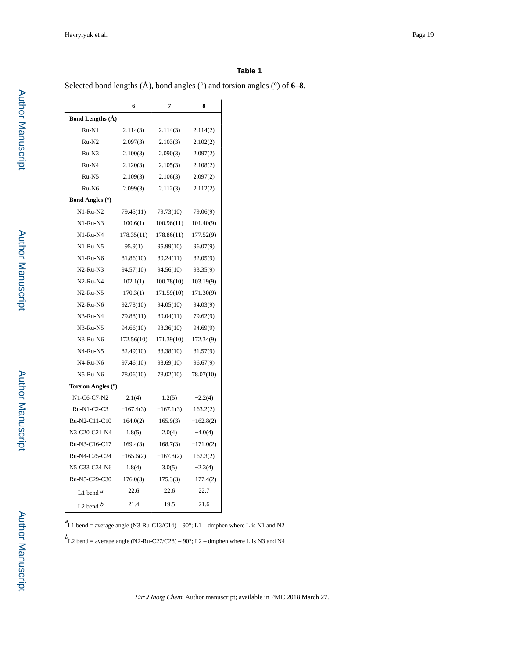#### **Table 1**

Selected bond lengths (Å), bond angles (°) and torsion angles (°) of **6**–**8**.

|                         | 6           | 7           | 8           |
|-------------------------|-------------|-------------|-------------|
| <b>Bond Lengths (A)</b> |             |             |             |
| $Ru-N1$                 | 2.114(3)    | 2.114(3)    | 2.114(2)    |
| $Ru-N2$                 | 2.097(3)    | 2.103(3)    | 2.102(2)    |
| Ru-N3                   | 2.100(3)    | 2.090(3)    | 2.097(2)    |
| Ru-N4                   | 2.120(3)    | 2.105(3)    | 2.108(2)    |
| $Ru-N5$                 | 2.109(3)    | 2.106(3)    | 2.097(2)    |
| Ru-N6                   | 2.099(3)    | 2.112(3)    | 2.112(2)    |
| <b>Bond Angles</b> (°)  |             |             |             |
| N1-Ru-N2                | 79.45(11)   | 79.73(10)   | 79.06(9)    |
| $N1-Ru-N3$              | 100.6(1)    | 100.96(11)  | 101.40(9)   |
| N1-Ru-N4                | 178.35(11)  | 178.86(11)  | 177.52(9)   |
| N1-Ru-N5                | 95.9(1)     | 95.99(10)   | 96.07(9)    |
| $N1-Ru-NG$              | 81.86(10)   | 80.24(11)   | 82.05(9)    |
| $N2-Ru-N3$              | 94.57(10)   | 94.56(10)   | 93.35(9)    |
| $N2-Ru-N4$              | 102.1(1)    | 100.78(10)  | 103.19(9)   |
| N2-Ru-N5                | 170.3(1)    | 171.59(10)  | 171.30(9)   |
| $N2-Ru-NG$              | 92.78(10)   | 94.05(10)   | 94.03(9)    |
| N3-Ru-N4                | 79.88(11)   | 80.04(11)   | 79.62(9)    |
| N3-Ru-N5                | 94.66(10)   | 93.36(10)   | 94.69(9)    |
| N3-Ru-N6                | 172.56(10)  | 171.39(10)  | 172.34(9)   |
| N4-Ru-N5                | 82.49(10)   | 83.38(10)   | 81.57(9)    |
| $N4-Ru-NG$              | 97.46(10)   | 98.69(10)   | 96.67(9)    |
| N5-Ru-N6                | 78.06(10)   | 78.02(10)   | 78.07(10)   |
| Torsion Angles (°)      |             |             |             |
| N1-C6-C7-N2             | 2.1(4)      | 1.2(5)      | $-2.2(4)$   |
| Ru-N1-C2-C3             | $-167.4(3)$ | $-167.1(3)$ | 163.2(2)    |
| Ru-N2-C11-C10           | 164.0(2)    | 165.9(3)    | $-162.8(2)$ |
| N3-C20-C21-N4           | 1.8(5)      | 2.0(4)      | $-4.0(4)$   |
| Ru-N3-C16-C17           | 169.4(3)    | 168.7(3)    | $-171.0(2)$ |
| Ru-N4-C25-C24           | $-165.6(2)$ | $-167.8(2)$ | 162.3(2)    |
| N5-C33-C34-N6           | 1.8(4)      | 3.0(5)      | $-2.3(4)$   |
| Ru-N5-C29-C30           | 176.0(3)    | 175.3(3)    | $-177.4(2)$ |
| L1 bend $a$             | 22.6        | 22.6        | 22.7        |
| L <sub>2</sub> bend $b$ | 21.4        | 19.5        | 21.6        |

 ${}^{a}_{L1}$  bend = average angle (N3-Ru-C13/C14) – 90°; L1 – dmphen where L is N1 and N2

 $b$ L2 bend = average angle (N2-Ru-C27/C28) – 90°; L2 – dmphen where L is N3 and N4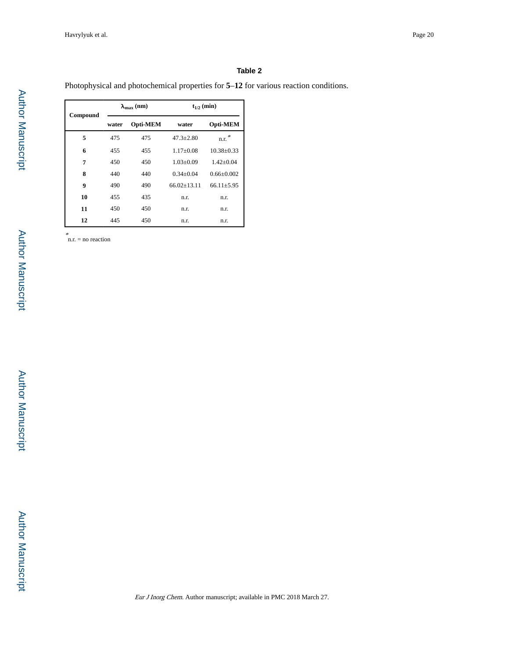#### **Table 2**

Photophysical and photochemical properties for **5**–**12** for various reaction conditions.

| Compound |       | $\lambda_{\text{max}}$ (nm) | $t_{1/2}$ (min)   |                  |
|----------|-------|-----------------------------|-------------------|------------------|
|          | water | Opti-MEM                    | water             | Opti-MEM         |
| 5        | 475   | 475                         | $47.3 + 2.80$     | n.r. $*$         |
| 6        | 455   | 455                         | $1.17+0.08$       | $10.38 + 0.33$   |
| 7        | 450   | 450                         | $1.03 + 0.09$     | $1.42+0.04$      |
| 8        | 440   | 440                         | $0.34 + 0.04$     | $0.66 + 0.002$   |
| 9        | 490   | 490                         | $66.02 \pm 13.11$ | $66.11 \pm 5.95$ |
| 10       | 455   | 435                         | n.r.              | n.r.             |
| 11       | 450   | 450                         | n.r.              | n.r.             |
| 12       | 445   | 450                         | n.r.              | n.r.             |

\* n.r. = no reaction